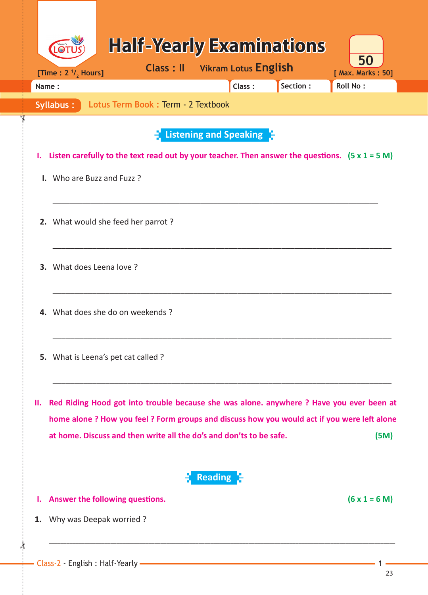| [Time : $2 \frac{1}{2}$ Hours]<br>Name:                                                                              | <b>Class: II</b>                    |                | <b>Vikram Lotus English</b><br>Class:              | Section: | [ Max. Marks: 50]<br><b>Roll No:</b>                                                         |
|----------------------------------------------------------------------------------------------------------------------|-------------------------------------|----------------|----------------------------------------------------|----------|----------------------------------------------------------------------------------------------|
| <b>Syllabus:</b>                                                                                                     | Lotus Term Book : Term - 2 Textbook |                |                                                    |          |                                                                                              |
|                                                                                                                      |                                     |                |                                                    |          |                                                                                              |
|                                                                                                                      |                                     |                | $\frac{1}{2}$ Listening and Speaking $\frac{1}{2}$ |          |                                                                                              |
| Listen carefully to the text read out by your teacher. Then answer the questions. $(5 \times 1 = 5 \text{ M})$<br>ı. |                                     |                |                                                    |          |                                                                                              |
| I. Who are Buzz and Fuzz?                                                                                            |                                     |                |                                                    |          |                                                                                              |
|                                                                                                                      |                                     |                |                                                    |          |                                                                                              |
| 2. What would she feed her parrot?                                                                                   |                                     |                |                                                    |          |                                                                                              |
|                                                                                                                      |                                     |                |                                                    |          |                                                                                              |
| 3. What does Leena love?                                                                                             |                                     |                |                                                    |          |                                                                                              |
|                                                                                                                      |                                     |                |                                                    |          |                                                                                              |
| 4. What does she do on weekends?                                                                                     |                                     |                |                                                    |          |                                                                                              |
|                                                                                                                      |                                     |                |                                                    |          |                                                                                              |
| 5. What is Leena's pet cat called?                                                                                   |                                     |                |                                                    |          |                                                                                              |
|                                                                                                                      |                                     |                |                                                    |          |                                                                                              |
| Red Riding Hood got into trouble because she was alone. anywhere ? Have you ever been at<br>Н.                       |                                     |                |                                                    |          |                                                                                              |
|                                                                                                                      |                                     |                |                                                    |          | home alone ? How you feel ? Form groups and discuss how you would act if you were left alone |
| at home. Discuss and then write all the do's and don'ts to be safe.                                                  |                                     |                |                                                    |          | (5M)                                                                                         |
|                                                                                                                      |                                     |                |                                                    |          |                                                                                              |
|                                                                                                                      |                                     | <b>Reading</b> |                                                    |          |                                                                                              |
| Answer the following questions.<br>ъ.                                                                                |                                     |                |                                                    |          | $(6 \times 1 = 6 \text{ M})$                                                                 |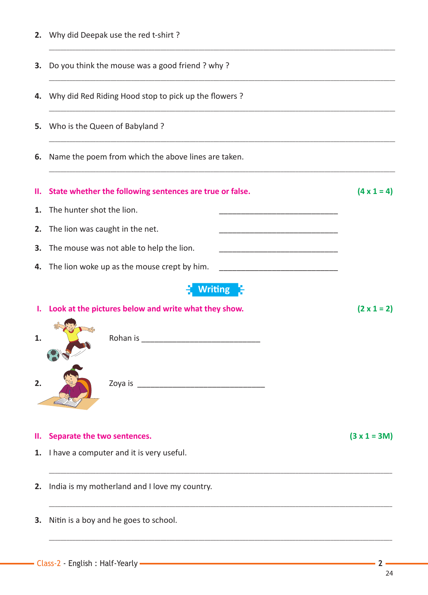|     | 2. Why did Deepak use the red t-shirt?                                                                             |                    |  |  |  |
|-----|--------------------------------------------------------------------------------------------------------------------|--------------------|--|--|--|
| 3.  | Do you think the mouse was a good friend ? why?<br>Why did Red Riding Hood stop to pick up the flowers?            |                    |  |  |  |
| 4.  |                                                                                                                    |                    |  |  |  |
| 5.  | Who is the Queen of Babyland?                                                                                      |                    |  |  |  |
| 6.  | Name the poem from which the above lines are taken.                                                                |                    |  |  |  |
| Ш.  | State whether the following sentences are true or false.                                                           | $(4 \times 1 = 4)$ |  |  |  |
| 1.  | The hunter shot the lion.                                                                                          |                    |  |  |  |
| 2.  | The lion was caught in the net.<br>the contract of the contract of the contract of the contract of the contract of |                    |  |  |  |
| 3.  | The mouse was not able to help the lion.                                                                           |                    |  |  |  |
| 4.  | The lion woke up as the mouse crept by him.                                                                        |                    |  |  |  |
|     | <b>Writing</b>                                                                                                     |                    |  |  |  |
| I., | Look at the pictures below and write what they show.                                                               | $(2 \times 1 = 2)$ |  |  |  |
| 1.  |                                                                                                                    |                    |  |  |  |
| 2.  |                                                                                                                    |                    |  |  |  |
| Ш.  | Separate the two sentences.                                                                                        | $(3 x 1 = 3M)$     |  |  |  |
| 1.  | I have a computer and it is very useful.                                                                           |                    |  |  |  |
| 2.  | India is my motherland and I love my country.                                                                      |                    |  |  |  |
| 3.  | Nitin is a boy and he goes to school.                                                                              |                    |  |  |  |
|     |                                                                                                                    |                    |  |  |  |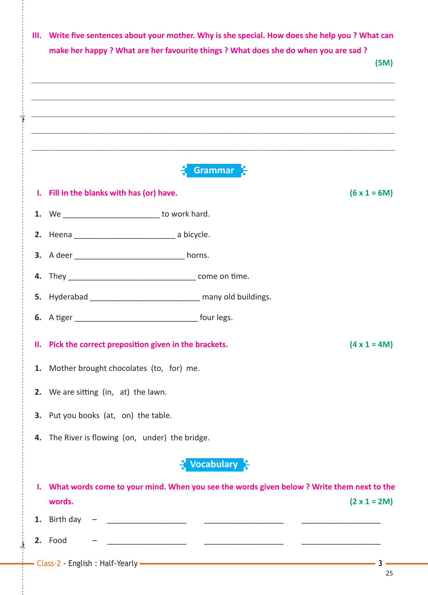| III. | Write five sentences about your mother. Why is she special. How does she help you? What can<br>make her happy? What are her favourite things? What does she do when you are sad? |                     |
|------|----------------------------------------------------------------------------------------------------------------------------------------------------------------------------------|---------------------|
|      |                                                                                                                                                                                  | (5M)                |
|      |                                                                                                                                                                                  |                     |
|      |                                                                                                                                                                                  |                     |
|      |                                                                                                                                                                                  |                     |
|      |                                                                                                                                                                                  |                     |
|      | Grammar 3                                                                                                                                                                        |                     |
|      | I. Fill in the blanks with has (or) have.                                                                                                                                        | $(6 \times 1 = 6M)$ |
|      | 1. We ____________________________ to work hard.                                                                                                                                 |                     |
|      |                                                                                                                                                                                  |                     |
|      |                                                                                                                                                                                  |                     |
|      |                                                                                                                                                                                  |                     |
|      | 5. Hyderabad _________________________ many old buildings.                                                                                                                       |                     |
|      |                                                                                                                                                                                  |                     |
|      | II. Pick the correct preposition given in the brackets.                                                                                                                          | $(4 \times 1 = 4M)$ |
| 1.   | Mother brought chocolates (to, for) me.                                                                                                                                          |                     |
| 2.   | We are sitting (in, at) the lawn.                                                                                                                                                |                     |
| 3.   | Put you books (at, on) the table.                                                                                                                                                |                     |
|      |                                                                                                                                                                                  |                     |
| 4.   | The River is flowing (on, under) the bridge.                                                                                                                                     |                     |
|      | $\frac{1}{2}$ Vocabulary $\frac{1}{2}$                                                                                                                                           |                     |
| ь.   | What words come to your mind. When you see the words given below ? Write them next to the                                                                                        |                     |
|      | words.                                                                                                                                                                           | $(2 \times 1 = 2M)$ |
|      |                                                                                                                                                                                  |                     |
|      | 2. Food                                                                                                                                                                          |                     |

25